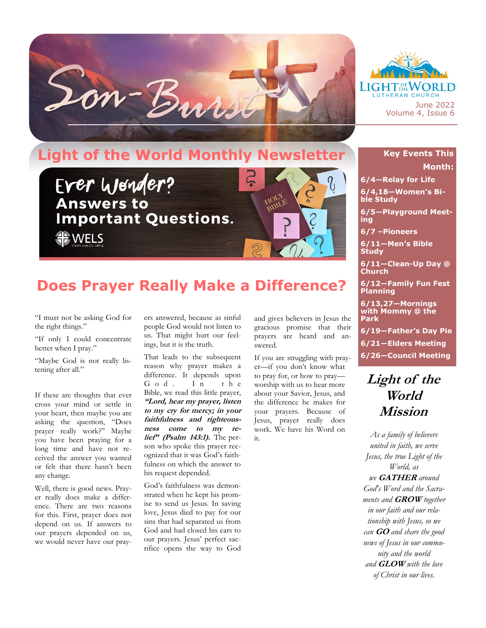



**LUTHERAN CHURCH** June 2022 Volume 4, Issue 6

## **Key Events This Month:**

WORLD

**6/4—Relay for Life**

**6/4,18—Women's Bible Study**

**6/5—Playground Meeting**

**6/7 –Pioneers** 

**6/11—Men's Bible Study**

**6/11—Clean-Up Day @ Church**

**6/12—Family Fun Fest Planning**

**6/13,27—Mornings with Mommy @ the Park**

**6/19—Father's Day Pie**

**6/21—Elders Meeting**

**6/26—Council Meeting**

## **Light of the World Mission**

*As a family of believers united in faith, we serve Jesus, the true Light of the World, as we* **GATHER** *around God's Word and the Sacraments and* **GROW** *together in our faith and our relationship with Jesus, so we can* **GO** *and share the good news of Jesus in our community and the world and* **GLOW** *with the love of Christ in our lives.*

## **Does Prayer Really Make a Difference?**

"I must not be asking God for the right things."

"If only I could concentrate better when I pray."

"Maybe God is not really listening after all."

If these are thoughts that ever cross your mind or settle in your heart, then maybe you are asking the question, "Does prayer really work?" Maybe you have been praying for a long time and have not received the answer you wanted or felt that there hasn't been any change.

Well, there is good news. Prayer really does make a difference. There are two reasons for this. First, prayer does not depend on us. If answers to our prayers depended on us, we would never have our prayers answered, because as sinful people God would not listen to us. That might hurt our feelings, but it is the truth.

That leads to the subsequent reason why prayer makes a difference. It depends upon<br>G o d . I n t h e God. In the Bible, we read this little prayer, **"Lord, hear my prayer, listen to my cry for mercy; in your faithfulness and righteousness come to my relief" (Psalm 143:1).** The person who spoke this prayer recognized that it was God's faithfulness on which the answer to his request depended.

God's faithfulness was demonstrated when he kept his promise to send us Jesus. In saving love, Jesus died to pay for our sins that had separated us from God and had closed his ears to our prayers. Jesus' perfect sacrifice opens the way to God

and gives believers in Jesus the gracious promise that their prayers are heard and answered.

If you are struggling with prayer—if you don't know what to pray for, or how to pray worship with us to hear more about your Savior, Jesus, and the difference he makes for your prayers. Because of Jesus, prayer really does work. We have his Word on it.